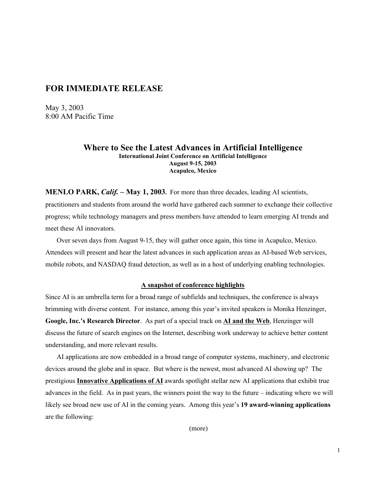## **FOR IMMEDIATE RELEASE**

May 3, 2003 8:00 AM Pacific Time

## **Where to See the Latest Advances in Artificial Intelligence International Joint Conference on Artificial Intelligence August 9-15, 2003 Acapulco, Mexico**

**MENLO PARK,** *Calif.* **– May 1, 2003.** For more than three decades, leading AI scientists, practitioners and students from around the world have gathered each summer to exchange their collective progress; while technology managers and press members have attended to learn emerging AI trends and meet these AI innovators.

Over seven days from August 9-15, they will gather once again, this time in Acapulco, Mexico. Attendees will present and hear the latest advances in such application areas as AI-based Web services, mobile robots, and NASDAQ fraud detection, as well as in a host of underlying enabling technologies.

## **A snapshot of conference highlights**

Since AI is an umbrella term for a broad range of subfields and techniques, the conference is always brimming with diverse content. For instance, among this year's invited speakers is Monika Henzinger, **Google, Inc.'s Research Director**. As part of a special track on **AI and the Web**, Henzinger will discuss the future of search engines on the Internet, describing work underway to achieve better content understanding, and more relevant results.

AI applications are now embedded in a broad range of computer systems, machinery, and electronic devices around the globe and in space. But where is the newest, most advanced AI showing up? The prestigious **Innovative Applications of AI** awards spotlight stellar new AI applications that exhibit true advances in the field. As in past years, the winners point the way to the future – indicating where we will likely see broad new use of AI in the coming years. Among this year's **19 award-winning applications** are the following:

(more)